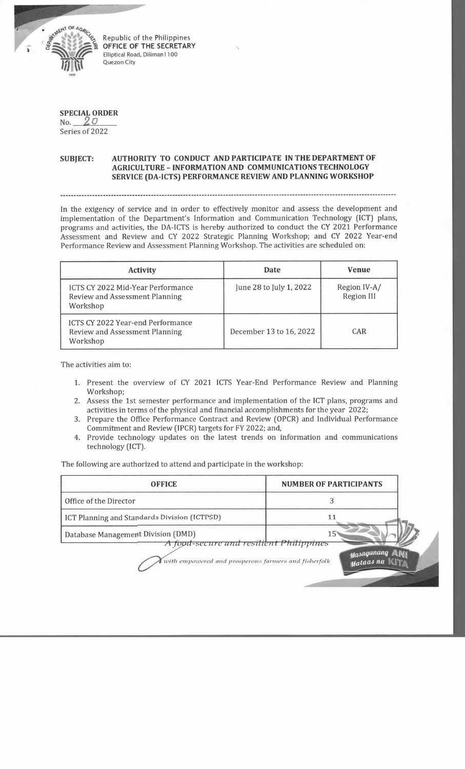

Republic of the Philippines **OFFICE OF THE SECRETARY** Elliptical Road, Diliman1100 Quezon City

## **SPECIAL ORDER** No. *2 o* \_\_\_\_

Series of 2022

## **SUBJECT: AUTHORITY TO CONDUCT AND PARTICIPATE IN THE DEPARTMENT OF AGRICULTURE - INFORMATION AND COMMUNICATIONS TECHNOLOGY SERVICE (DA-ICTS) PERFORMANCE REVIEW AND PLANNING WORKSHOP**

In the exigency of service and in order to effectively monitor and assess the development and implementation of the Department's Information and Communication Technology (1CT) plans, programs and activities, the DA-ICTS is hereby authorized to conduct the CY 2021 Performance Assessment and Review and CY 2022 Strategic Planning Workshop; and CY 2022 Year-end Performance Review and Assessment Planning Workshop. The activities are scheduled on:

| <b>Activity</b>                                                                        | Date                    | Venue                      |
|----------------------------------------------------------------------------------------|-------------------------|----------------------------|
| ICTS CY 2022 Mid-Year Performance<br>Review and Assessment Planning<br>Workshop        | June 28 to July 1, 2022 | Region IV-A/<br>Region III |
| <b>ICTS CY 2022 Year-end Performance</b><br>Review and Assessment Planning<br>Workshop | December 13 to 16, 2022 | CAR                        |

The activities aim to:

- 1. Present the overview of CY 2021 ICTS Year-End Performance Review and Planning Workshop;
- 2. Assess the 1st semester performance and implementation of the ICT plans, programs and activities in terms of the physical and financial accomplishments for the year 2022;
- 3. Prepare the Office Performance Contract and Review (OPCR) and Individual Performance Commitment and Review (IPCR) targets for FY 2022; and,
- 4. Provide technology updates on the latest trends on information and communications technology (ICT).

The following are authorized to attend and participate in the workshop:

| <b>OFFICE</b>                                                                 | <b>NUMBER OF PARTICIPANTS</b> |
|-------------------------------------------------------------------------------|-------------------------------|
| Office of the Director                                                        |                               |
| ICT Planning and Standards Division (ICTPSD)                                  |                               |
| Database Management Division (DMD)<br>A food-secure and resilient Philippines | 15"                           |